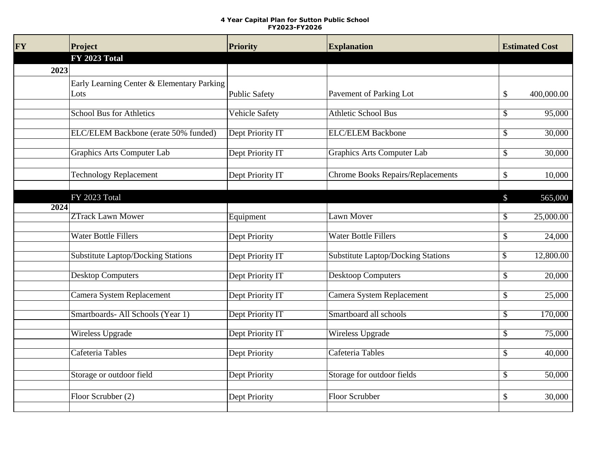## **4 Year Capital Plan for Sutton Public School FY2023-FY2026**

| <b>FY</b> | Project                                    | <b>Priority</b>       | <b>Explanation</b>                        | <b>Estimated Cost</b>               |  |
|-----------|--------------------------------------------|-----------------------|-------------------------------------------|-------------------------------------|--|
|           | <b>FY 2023 Total</b>                       |                       |                                           |                                     |  |
| 2023      |                                            |                       |                                           |                                     |  |
|           | Early Learning Center & Elementary Parking |                       |                                           |                                     |  |
|           | Lots                                       | <b>Public Safety</b>  | Pavement of Parking Lot                   | 400,000.00<br>\$                    |  |
|           |                                            |                       |                                           |                                     |  |
|           | <b>School Bus for Athletics</b>            | <b>Vehicle Safety</b> | <b>Athletic School Bus</b>                | 95,000<br>\$                        |  |
|           | ELC/ELEM Backbone (erate 50% funded)       | Dept Priority IT      | <b>ELC/ELEM Backbone</b>                  | 30,000<br>\$                        |  |
|           |                                            |                       |                                           |                                     |  |
|           | <b>Graphics Arts Computer Lab</b>          | Dept Priority IT      | Graphics Arts Computer Lab                | 30,000<br>\$                        |  |
|           |                                            |                       |                                           |                                     |  |
|           | <b>Technology Replacement</b>              | Dept Priority IT      | Chrome Books Repairs/Replacements         | \$<br>10,000                        |  |
|           |                                            |                       |                                           |                                     |  |
|           | FY 2023 Total                              |                       |                                           | 565,000<br>\$                       |  |
| 2024      |                                            |                       |                                           |                                     |  |
|           | <b>ZTrack Lawn Mower</b>                   | Equipment             | Lawn Mover                                | 25,000.00<br>\$                     |  |
|           | <b>Water Bottle Fillers</b>                | Dept Priority         | <b>Water Bottle Fillers</b>               | 24,000<br>\$                        |  |
|           |                                            |                       |                                           |                                     |  |
|           | <b>Substitute Laptop/Docking Stations</b>  | Dept Priority IT      | <b>Substitute Laptop/Docking Stations</b> | 12,800.00<br>\$                     |  |
|           |                                            |                       |                                           |                                     |  |
|           | <b>Desktop Computers</b>                   | Dept Priority IT      | <b>Desktoop Computers</b>                 | 20,000<br>\$                        |  |
|           | Camera System Replacement                  | Dept Priority IT      | Camera System Replacement                 | 25,000<br>\$                        |  |
|           |                                            |                       |                                           |                                     |  |
|           | Smartboards- All Schools (Year 1)          | Dept Priority IT      | Smartboard all schools                    | 170,000<br>$\overline{\mathcal{S}}$ |  |
|           |                                            |                       |                                           |                                     |  |
|           | <b>Wireless Upgrade</b>                    | Dept Priority IT      | <b>Wireless Upgrade</b>                   | \$<br>75,000                        |  |
|           | Cafeteria Tables                           | Dept Priority         | Cafeteria Tables                          | 40,000<br>\$                        |  |
|           |                                            |                       |                                           |                                     |  |
|           | Storage or outdoor field                   | Dept Priority         | Storage for outdoor fields                | \$<br>50,000                        |  |
|           |                                            |                       |                                           |                                     |  |
|           | Floor Scrubber (2)                         | Dept Priority         | Floor Scrubber                            | \$<br>30,000                        |  |
|           |                                            |                       |                                           |                                     |  |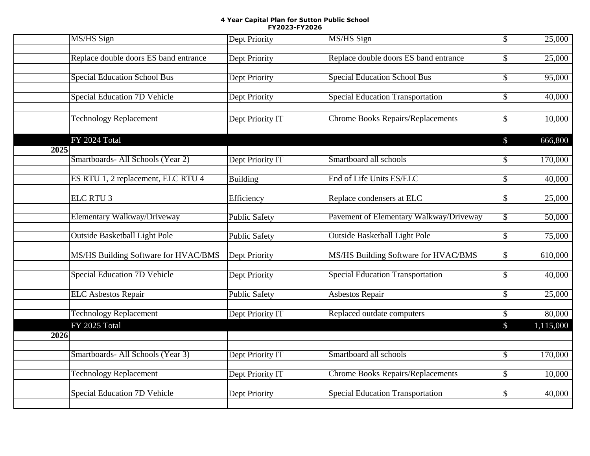## **4 Year Capital Plan for Sutton Public School FY2023-FY2026**

|      | MS/HS Sign                            | <b>Dept Priority</b> | <b>MS/HS Sign</b>                        | $\overline{\$}$           | 25,000    |
|------|---------------------------------------|----------------------|------------------------------------------|---------------------------|-----------|
|      | Replace double doors ES band entrance | Dept Priority        | Replace double doors ES band entrance    | \$                        | 25,000    |
|      | <b>Special Education School Bus</b>   | <b>Dept Priority</b> | <b>Special Education School Bus</b>      | \$                        | 95,000    |
|      | <b>Special Education 7D Vehicle</b>   | Dept Priority        | <b>Special Education Transportation</b>  | \$                        | 40,000    |
|      | <b>Technology Replacement</b>         | Dept Priority IT     | <b>Chrome Books Repairs/Replacements</b> | \$                        | 10,000    |
|      | FY 2024 Total                         |                      |                                          | $\mathbb{S}$              | 666,800   |
| 2025 | Smartboards- All Schools (Year 2)     | Dept Priority IT     | Smartboard all schools                   | $\boldsymbol{\mathsf{S}}$ | 170,000   |
|      | ES RTU 1, 2 replacement, ELC RTU 4    | <b>Building</b>      | End of Life Units ES/ELC                 | \$                        | 40,000    |
|      | ELC RTU <sub>3</sub>                  | Efficiency           | Replace condensers at ELC                | \$                        | 25,000    |
|      | Elementary Walkway/Driveway           | <b>Public Safety</b> | Pavement of Elementary Walkway/Driveway  | $\overline{\$}$           | 50,000    |
|      | <b>Outside Basketball Light Pole</b>  | <b>Public Safety</b> | <b>Outside Basketball Light Pole</b>     | $\overline{\mathcal{S}}$  | 75,000    |
|      | MS/HS Building Software for HVAC/BMS  | <b>Dept Priority</b> | MS/HS Building Software for HVAC/BMS     | \$                        | 610,000   |
|      | <b>Special Education 7D Vehicle</b>   | Dept Priority        | <b>Special Education Transportation</b>  | $\boldsymbol{\mathsf{S}}$ | 40,000    |
|      | <b>ELC</b> Asbestos Repair            | <b>Public Safety</b> | <b>Asbestos Repair</b>                   | \$                        | 25,000    |
|      | <b>Technology Replacement</b>         | Dept Priority IT     | Replaced outdate computers               | \$                        | 80,000    |
| 2026 | FY 2025 Total                         |                      |                                          | \$                        | 1,115,000 |
|      | Smartboards- All Schools (Year 3)     | Dept Priority IT     | Smartboard all schools                   | \$                        | 170,000   |
|      | <b>Technology Replacement</b>         | Dept Priority IT     | <b>Chrome Books Repairs/Replacements</b> | \$                        | 10,000    |
|      | <b>Special Education 7D Vehicle</b>   | <b>Dept Priority</b> | <b>Special Education Transportation</b>  | \$                        | 40,000    |
|      |                                       |                      |                                          |                           |           |